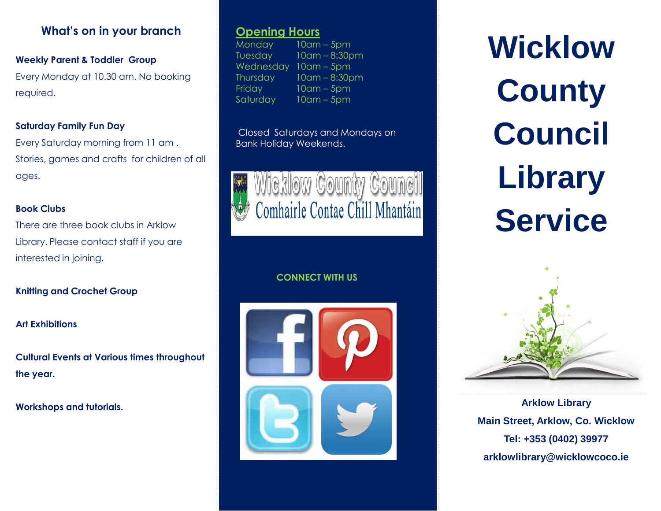### **What's on in your branch**

### **Weekly Parent & Toddler Group**

Every Monday at 10.30 am. No booking required.

### **Saturday Family Fun Day**

Every Saturday morning from 11 am . Stories, games and crafts for children of all ages.

### **Book Clubs**

There are three book clubs in Arklow Library. Please contact staff if you are interested in joining.

### **Knitting and Crochet Group**

### **Art Exhibitions**

**Cultural Events at Various times throughout the year.**

### **Workshops and tutorials.**

### **Opening Hours**

Monday 10am – 5pm Tuesday 10am – 8:30pm Wednesday 10am – 5pm Thursday 10am – 8:30pm Friday 10am – 5pm Saturday 10am – 5pm

Closed Saturdays and Mondays on Bank Holiday Weekends.



### **CONNECT WITH US**



# **Wicklow County Council Library Service**



**Arklow Library Main Street, Arklow, Co. Wicklow Tel: +353 (0402) 39977 arklowlibrary@wicklowcoco.ie**